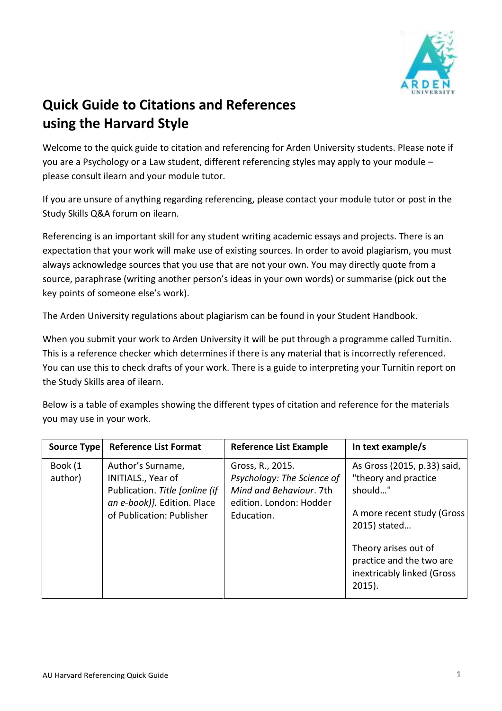

## **Quick Guide to Citations and References using the Harvard Style**

Welcome to the quick guide to citation and referencing for Arden University students. Please note if you are a Psychology or a Law student, different referencing styles may apply to your module – please consult ilearn and your module tutor.

If you are unsure of anything regarding referencing, please contact your module tutor or post in the Study Skills Q&A forum on ilearn.

Referencing is an important skill for any student writing academic essays and projects. There is an expectation that your work will make use of existing sources. In order to avoid plagiarism, you must always acknowledge sources that you use that are not your own. You may directly quote from a source, paraphrase (writing another person's ideas in your own words) or summarise (pick out the key points of someone else's work).

The Arden University regulations about plagiarism can be found in your Student Handbook.

When you submit your work to Arden University it will be put through a programme called Turnitin. This is a reference checker which determines if there is any material that is incorrectly referenced. You can use this to check drafts of your work. There is a guide to interpreting your Turnitin report on the Study Skills area of ilearn.

Below is a table of examples showing the different types of citation and reference for the materials you may use in your work.

| Source Type        | <b>Reference List Format</b>                                                                                                          | <b>Reference List Example</b>                                                                                      | In text example/s                                                                                                                                                                                            |
|--------------------|---------------------------------------------------------------------------------------------------------------------------------------|--------------------------------------------------------------------------------------------------------------------|--------------------------------------------------------------------------------------------------------------------------------------------------------------------------------------------------------------|
| Book (1<br>author) | Author's Surname,<br>INITIALS., Year of<br>Publication. Title [online (if<br>an e-book)]. Edition. Place<br>of Publication: Publisher | Gross, R., 2015.<br>Psychology: The Science of<br>Mind and Behaviour. 7th<br>edition. London: Hodder<br>Education. | As Gross (2015, p.33) said,<br>"theory and practice<br>should"<br>A more recent study (Gross)<br>2015) stated<br>Theory arises out of<br>practice and the two are<br>inextricably linked (Gross<br>$2015$ ). |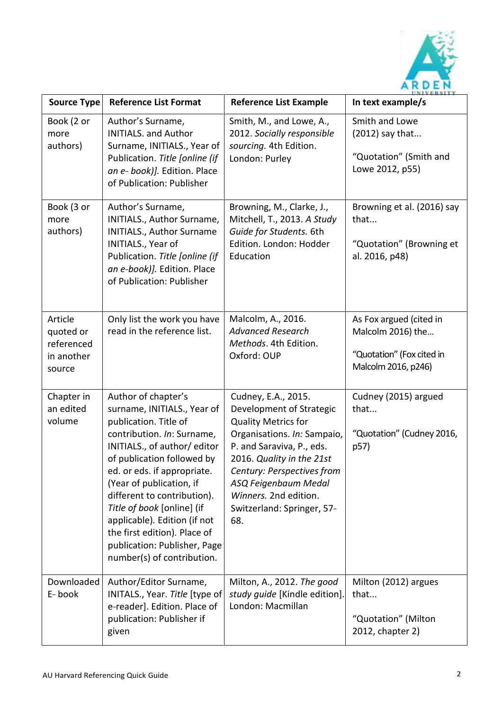

| <b>Source Type</b>                                         | <b>Reference List Format</b>                                                                                                                                                                                                                                                                                                                                                                                                  | <b>Reference List Example</b>                                                                                                                                                                                                                                                              | UNIVERSITY<br>In text example/s                                                                  |
|------------------------------------------------------------|-------------------------------------------------------------------------------------------------------------------------------------------------------------------------------------------------------------------------------------------------------------------------------------------------------------------------------------------------------------------------------------------------------------------------------|--------------------------------------------------------------------------------------------------------------------------------------------------------------------------------------------------------------------------------------------------------------------------------------------|--------------------------------------------------------------------------------------------------|
| Book (2 or<br>more<br>authors)                             | Author's Surname,<br><b>INITIALS. and Author</b><br>Surname, INITIALS., Year of<br>Publication. Title [online (if<br>an e- book)]. Edition. Place<br>of Publication: Publisher                                                                                                                                                                                                                                                | Smith, M., and Lowe, A.,<br>2012. Socially responsible<br>sourcing. 4th Edition.<br>London: Purley                                                                                                                                                                                         | Smith and Lowe<br>(2012) say that<br>"Quotation" (Smith and<br>Lowe 2012, p55)                   |
| Book (3 or<br>more<br>authors)                             | Author's Surname,<br>INITIALS., Author Surname,<br>INITIALS., Author Surname<br>INITIALS., Year of<br>Publication. Title [online (if<br>an e-book)]. Edition. Place<br>of Publication: Publisher                                                                                                                                                                                                                              | Browning, M., Clarke, J.,<br>Mitchell, T., 2013. A Study<br>Guide for Students. 6th<br>Edition. London: Hodder<br>Education                                                                                                                                                                | Browning et al. (2016) say<br>that<br>"Quotation" (Browning et<br>al. 2016, p48)                 |
| Article<br>quoted or<br>referenced<br>in another<br>source | Only list the work you have<br>read in the reference list.                                                                                                                                                                                                                                                                                                                                                                    | Malcolm, A., 2016.<br><b>Advanced Research</b><br>Methods. 4th Edition.<br>Oxford: OUP                                                                                                                                                                                                     | As Fox argued (cited in<br>Malcolm 2016) the<br>"Quotation" (Fox cited in<br>Malcolm 2016, p246) |
| Chapter in<br>an edited<br>volume                          | Author of chapter's<br>surname, INITIALS., Year of<br>publication. Title of<br>contribution. In: Surname,<br>INITIALS., of author/ editor<br>of publication followed by<br>ed. or eds. if appropriate.<br>(Year of publication, if<br>different to contribution).<br>Title of book [online] (if<br>applicable). Edition (if not<br>the first edition). Place of<br>publication: Publisher, Page<br>number(s) of contribution. | Cudney, E.A., 2015.<br>Development of Strategic<br><b>Quality Metrics for</b><br>Organisations. In: Sampaio,<br>P. and Saraviva, P., eds.<br>2016. Quality in the 21st<br>Century: Perspectives from<br>ASQ Feigenbaum Medal<br>Winners. 2nd edition.<br>Switzerland: Springer, 57-<br>68. | Cudney (2015) argued<br>that<br>"Quotation" (Cudney 2016,<br>p57)                                |
| Downloaded<br>E-book                                       | Author/Editor Surname,<br>INITALS., Year. Title [type of<br>e-reader]. Edition. Place of<br>publication: Publisher if<br>given                                                                                                                                                                                                                                                                                                | Milton, A., 2012. The good<br>study guide [Kindle edition].<br>London: Macmillan                                                                                                                                                                                                           | Milton (2012) argues<br>that<br>"Quotation" (Milton<br>2012, chapter 2)                          |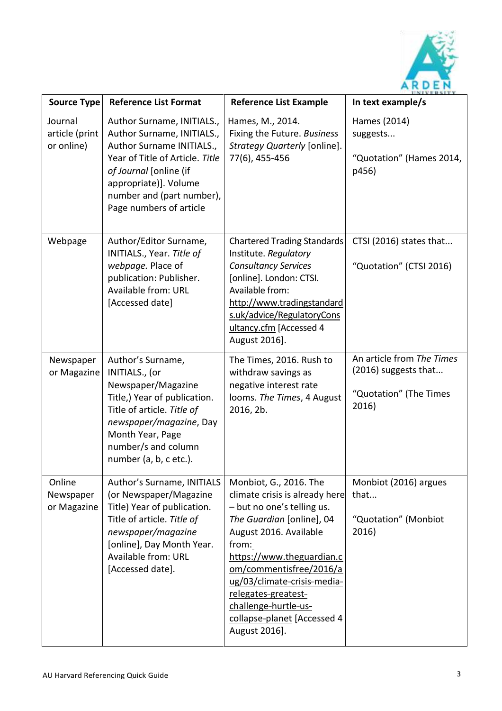

| <b>Source Type</b>                      | <b>Reference List Format</b>                                                                                                                                                                                                        | <b>Reference List Example</b>                                                                                                                                                                                                                                                                                                                | 11 N I V E R S L T 1<br>In text example/s                                            |
|-----------------------------------------|-------------------------------------------------------------------------------------------------------------------------------------------------------------------------------------------------------------------------------------|----------------------------------------------------------------------------------------------------------------------------------------------------------------------------------------------------------------------------------------------------------------------------------------------------------------------------------------------|--------------------------------------------------------------------------------------|
| Journal<br>article (print<br>or online) | Author Surname, INITIALS.,<br>Author Surname, INITIALS.,<br>Author Surname INITIALS.,<br>Year of Title of Article. Title<br>of Journal [online (if<br>appropriate)]. Volume<br>number and (part number),<br>Page numbers of article | Hames, M., 2014.<br>Fixing the Future. Business<br>Strategy Quarterly [online].<br>77(6), 455-456                                                                                                                                                                                                                                            | Hames (2014)<br>suggests<br>"Quotation" (Hames 2014,<br>p456)                        |
| Webpage                                 | Author/Editor Surname,<br>INITIALS., Year. Title of<br>webpage. Place of<br>publication: Publisher.<br>Available from: URL<br>[Accessed date]                                                                                       | <b>Chartered Trading Standards</b><br>Institute. Regulatory<br><b>Consultancy Services</b><br>[online]. London: CTSI.<br>Available from:<br>http://www.tradingstandard<br>s.uk/advice/RegulatoryCons<br>ultancy.cfm [Accessed 4<br>August 2016].                                                                                             | CTSI (2016) states that<br>"Quotation" (CTSI 2016)                                   |
| Newspaper<br>or Magazine                | Author's Surname,<br>INITIALS., (or<br>Newspaper/Magazine<br>Title,) Year of publication.<br>Title of article. Title of<br>newspaper/magazine, Day<br>Month Year, Page<br>number/s and column<br>number (a, b, c etc.).             | The Times, 2016. Rush to<br>withdraw savings as<br>negative interest rate<br>looms. The Times, 4 August<br>2016, 2b.                                                                                                                                                                                                                         | An article from The Times<br>(2016) suggests that<br>"Quotation" (The Times<br>2016) |
| Online<br>Newspaper<br>or Magazine      | Author's Surname, INITIALS<br>(or Newspaper/Magazine<br>Title) Year of publication.<br>Title of article. Title of<br>newspaper/magazine<br>[online], Day Month Year.<br>Available from: URL<br>[Accessed date].                     | Monbiot, G., 2016. The<br>climate crisis is already here<br>- but no one's telling us.<br>The Guardian [online], 04<br>August 2016. Available<br>from:<br>https://www.theguardian.c<br>om/commentisfree/2016/a<br>ug/03/climate-crisis-media-<br>relegates-greatest-<br>challenge-hurtle-us-<br>collapse-planet [Accessed 4<br>August 2016]. | Monbiot (2016) argues<br>that<br>"Quotation" (Monbiot<br>2016)                       |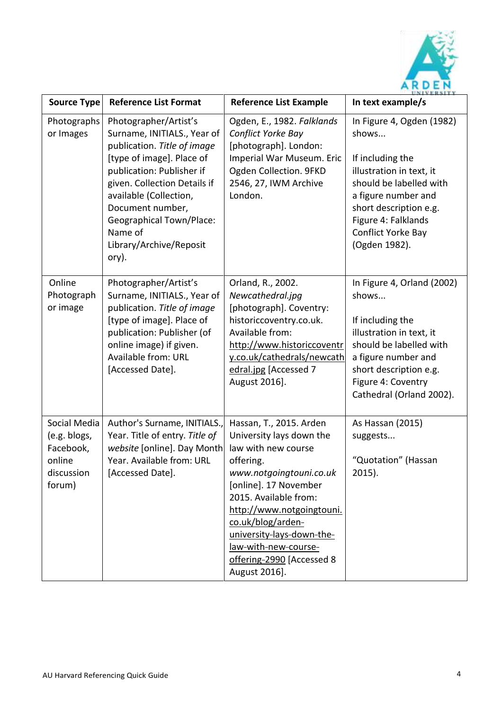

| <b>Source Type</b>                                                          | <b>Reference List Format</b>                                                                                                                                                                                                                                                                                  | <b>Reference List Example</b>                                                                                                                                                                                                                                                                                             | UNIVERSITY<br>In text example/s                                                                                                                                                                                              |
|-----------------------------------------------------------------------------|---------------------------------------------------------------------------------------------------------------------------------------------------------------------------------------------------------------------------------------------------------------------------------------------------------------|---------------------------------------------------------------------------------------------------------------------------------------------------------------------------------------------------------------------------------------------------------------------------------------------------------------------------|------------------------------------------------------------------------------------------------------------------------------------------------------------------------------------------------------------------------------|
| Photographs<br>or Images                                                    | Photographer/Artist's<br>Surname, INITIALS., Year of<br>publication. Title of image<br>[type of image]. Place of<br>publication: Publisher if<br>given. Collection Details if<br>available (Collection,<br>Document number,<br><b>Geographical Town/Place:</b><br>Name of<br>Library/Archive/Reposit<br>ory). | Ogden, E., 1982. Falklands<br>Conflict Yorke Bay<br>[photograph]. London:<br>Imperial War Museum. Eric<br>Ogden Collection. 9FKD<br>2546, 27, IWM Archive<br>London.                                                                                                                                                      | In Figure 4, Ogden (1982)<br>shows<br>If including the<br>illustration in text, it<br>should be labelled with<br>a figure number and<br>short description e.g.<br>Figure 4: Falklands<br>Conflict Yorke Bay<br>(Ogden 1982). |
| Online<br>Photograph<br>or image                                            | Photographer/Artist's<br>Surname, INITIALS., Year of<br>publication. Title of image<br>[type of image]. Place of<br>publication: Publisher (of<br>online image) if given.<br>Available from: URL<br>[Accessed Date].                                                                                          | Orland, R., 2002.<br>Newcathedral.jpg<br>[photograph]. Coventry:<br>historiccoventry.co.uk.<br>Available from:<br>http://www.historiccoventr<br>y.co.uk/cathedrals/newcath<br>edral.jpg [Accessed 7<br>August 2016].                                                                                                      | In Figure 4, Orland (2002)<br>shows<br>If including the<br>illustration in text, it<br>should be labelled with<br>a figure number and<br>short description e.g.<br>Figure 4: Coventry<br>Cathedral (Orland 2002).            |
| Social Media<br>(e.g. blogs,<br>Facebook,<br>online<br>discussion<br>forum) | Author's Surname, INITIALS.,<br>Year. Title of entry. Title of<br>website [online]. Day Month<br>Year. Available from: URL<br>[Accessed Date].                                                                                                                                                                | Hassan, T., 2015. Arden<br>University lays down the<br>law with new course<br>offering.<br>www.notgoingtouni.co.uk<br>[online]. 17 November<br>2015. Available from:<br>http://www.notgoingtouni.<br>co.uk/blog/arden-<br>university-lays-down-the-<br>law-with-new-course-<br>offering-2990 [Accessed 8<br>August 2016]. | As Hassan (2015)<br>suggests<br>"Quotation" (Hassan<br>$2015$ ).                                                                                                                                                             |